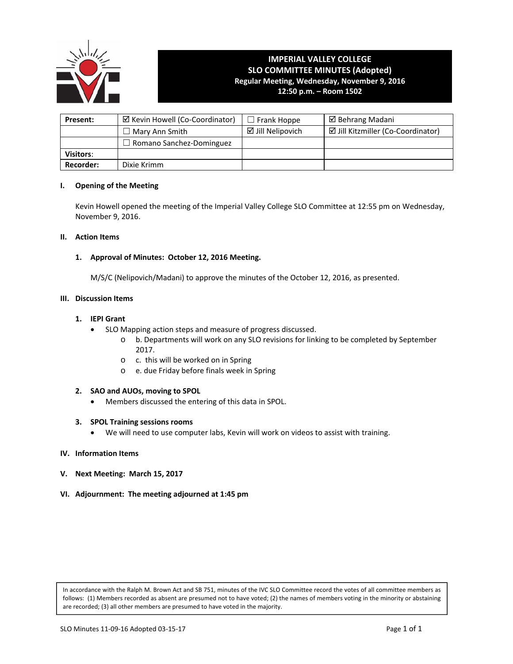

# **IMPERIAL VALLEY COLLEGE SLO COMMITTEE MINUTES (Adopted) Regular Meeting, Wednesday, November 9, 2016**

**12:50 p.m. – Room 1502**

| Present:         | ☑ Kevin Howell (Co-Coordinator) | $\square$ Frank Hoppe       | $\boxtimes$ Behrang Madani         |
|------------------|---------------------------------|-----------------------------|------------------------------------|
|                  | $\Box$ Mary Ann Smith           | $\boxtimes$ Jill Nelipovich | ☑ Jill Kitzmiller (Co-Coordinator) |
|                  | $\Box$ Romano Sanchez-Dominguez |                             |                                    |
| <b>Visitors:</b> |                                 |                             |                                    |
| Recorder:        | Dixie Krimm                     |                             |                                    |

#### **I. Opening of the Meeting**

Kevin Howell opened the meeting of the Imperial Valley College SLO Committee at 12:55 pm on Wednesday, November 9, 2016.

### **II. Action Items**

# **1. Approval of Minutes: October 12, 2016 Meeting.**

 M/S/C (Nelipovich/Madani) to approve the minutes of the October 12, 2016, as presented.

### **III. Discussion Items**

# **1. IEPI Grant**

- SLO Mapping action steps and measure of progress discussed.
	- o b. Departments will work on any SLO revisions for linking to be completed by September 2017.
	- o c. this will be worked on in Spring
	- o e. due Friday before finals week in Spring

#### **2. SAO and AUOs, moving to SPOL**

Members discussed the entering of this data in SPOL.

#### **3. SPOL Training sessions rooms**

We will need to use computer labs, Kevin will work on videos to assist with training.

#### **IV. Information Items**

- **V. Next Meeting: March 15, 2017**
- **VI. Adjournment: The meeting adjourned at 1:45 pm**

In accordance with the Ralph M. Brown Act and SB 751, minutes of the IVC SLO Committee record the votes of all committee members as follows: (1) Members recorded as absent are presumed not to have voted; (2) the names of members voting in the minority or abstaining are recorded; (3) all other members are presumed to have voted in the majority.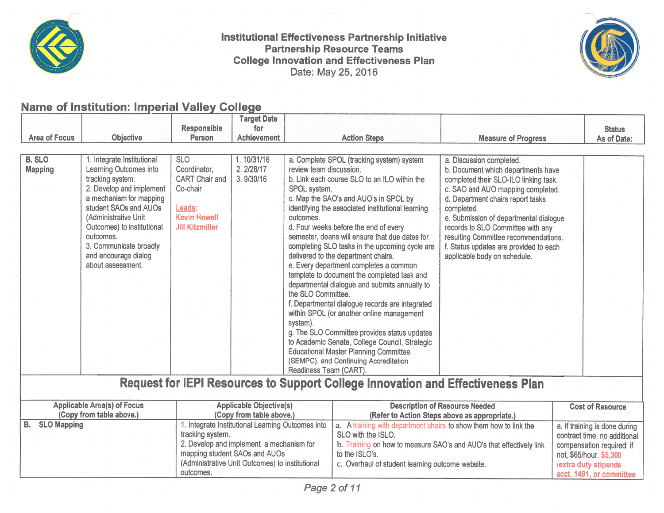

Institutional Effectiveness Partnership Initiative **Partnership Resource Teams College Innovation and Effectiveness Plan** Date: May 25, 2016



# Name of Institution: Imperial Valley College

|                                                                                 |                                                                                                                                                                                                                                                                                                    |                                                                                                                                                                                                       | <b>Target Date</b>                     |                                                                                                                                                                                                                                                                                                                                                                                                                                                                                                                                                                                                                                                                                                                                                                                                                                                                   |                                               |                                                                                                                                                                                                                                                                                                                                                                                                  |                                                                                                                                               |               |  |
|---------------------------------------------------------------------------------|----------------------------------------------------------------------------------------------------------------------------------------------------------------------------------------------------------------------------------------------------------------------------------------------------|-------------------------------------------------------------------------------------------------------------------------------------------------------------------------------------------------------|----------------------------------------|-------------------------------------------------------------------------------------------------------------------------------------------------------------------------------------------------------------------------------------------------------------------------------------------------------------------------------------------------------------------------------------------------------------------------------------------------------------------------------------------------------------------------------------------------------------------------------------------------------------------------------------------------------------------------------------------------------------------------------------------------------------------------------------------------------------------------------------------------------------------|-----------------------------------------------|--------------------------------------------------------------------------------------------------------------------------------------------------------------------------------------------------------------------------------------------------------------------------------------------------------------------------------------------------------------------------------------------------|-----------------------------------------------------------------------------------------------------------------------------------------------|---------------|--|
|                                                                                 |                                                                                                                                                                                                                                                                                                    | <b>Responsible</b>                                                                                                                                                                                    | for                                    |                                                                                                                                                                                                                                                                                                                                                                                                                                                                                                                                                                                                                                                                                                                                                                                                                                                                   |                                               |                                                                                                                                                                                                                                                                                                                                                                                                  |                                                                                                                                               | <b>Status</b> |  |
| <b>Area of Focus</b>                                                            | <b>Objective</b>                                                                                                                                                                                                                                                                                   | <b>Person</b>                                                                                                                                                                                         | <b>Achievement</b>                     | <b>Action Steps</b>                                                                                                                                                                                                                                                                                                                                                                                                                                                                                                                                                                                                                                                                                                                                                                                                                                               |                                               | <b>Measure of Progress</b>                                                                                                                                                                                                                                                                                                                                                                       |                                                                                                                                               | As of Date:   |  |
|                                                                                 |                                                                                                                                                                                                                                                                                                    |                                                                                                                                                                                                       |                                        |                                                                                                                                                                                                                                                                                                                                                                                                                                                                                                                                                                                                                                                                                                                                                                                                                                                                   |                                               |                                                                                                                                                                                                                                                                                                                                                                                                  |                                                                                                                                               |               |  |
| <b>B. SLO</b><br><b>Mapping</b>                                                 | 1. Integrate Institutional<br>Learning Outcomes into<br>tracking system.<br>2. Develop and implement<br>a mechanism for mapping<br>student SAOs and AUOs<br>(Administrative Unit<br>Outcomes) to institutional<br>outcomes.<br>3. Communicate broadly<br>and encourage dialog<br>about assessment. | <b>SLO</b><br>Coordinator,<br><b>CART Chair and</b><br>Co-chair<br>Leads:<br><b>Kevin Howell</b><br><b>Jill Kitzmiller</b>                                                                            | 1.10/31/16<br>2. 2/28/17<br>3. 9/30/16 | a. Complete SPOL (tracking system) system<br>review team discussion.<br>b. Link each course SLO to an ILO within the<br>SPOL system.<br>c. Map the SAO's and AUO's in SPOL by<br>identifying the associated institutional learning<br>outcomes.<br>d. Four weeks before the end of every<br>semester, deans will ensure that due dates for<br>completing SLO tasks in the upcoming cycle are<br>delivered to the department chairs.<br>e. Every department completes a common<br>template to document the completed task and<br>departmental dialogue and submits annually to<br>the SLO Committee.<br>f. Departmental dialogue records are integrated<br>within SPOL (or another online management<br>system).<br>g. The SLO Committee provides status updates<br>to Academic Senate, College Council, Strategic<br><b>Educational Master Planning Committee</b> |                                               | a. Discussion completed.<br>b. Document which departments have<br>completed their SLO-ILO linking task.<br>c. SAO and AUO mapping completed.<br>d. Department chairs report tasks<br>completed.<br>e. Submission of departmental dialogue<br>records to SLO Committee with any<br>resulting Committee recommendations.<br>f. Status updates are provided to each<br>applicable body on schedule. |                                                                                                                                               |               |  |
|                                                                                 |                                                                                                                                                                                                                                                                                                    |                                                                                                                                                                                                       |                                        | (SEMPC), and Continuing Accreditation<br>Readiness Team (CART).                                                                                                                                                                                                                                                                                                                                                                                                                                                                                                                                                                                                                                                                                                                                                                                                   |                                               |                                                                                                                                                                                                                                                                                                                                                                                                  |                                                                                                                                               |               |  |
|                                                                                 |                                                                                                                                                                                                                                                                                                    |                                                                                                                                                                                                       |                                        |                                                                                                                                                                                                                                                                                                                                                                                                                                                                                                                                                                                                                                                                                                                                                                                                                                                                   |                                               |                                                                                                                                                                                                                                                                                                                                                                                                  |                                                                                                                                               |               |  |
| Request for IEPI Resources to Support College Innovation and Effectiveness Plan |                                                                                                                                                                                                                                                                                                    |                                                                                                                                                                                                       |                                        |                                                                                                                                                                                                                                                                                                                                                                                                                                                                                                                                                                                                                                                                                                                                                                                                                                                                   |                                               |                                                                                                                                                                                                                                                                                                                                                                                                  |                                                                                                                                               |               |  |
| <b>Applicable Area(s) of Focus</b>                                              |                                                                                                                                                                                                                                                                                                    | <b>Applicable Objective(s)</b>                                                                                                                                                                        |                                        | <b>Description of Resource Needed</b>                                                                                                                                                                                                                                                                                                                                                                                                                                                                                                                                                                                                                                                                                                                                                                                                                             |                                               |                                                                                                                                                                                                                                                                                                                                                                                                  | <b>Cost of Resource</b>                                                                                                                       |               |  |
| (Copy from table above.)                                                        |                                                                                                                                                                                                                                                                                                    |                                                                                                                                                                                                       | (Copy from table above.)               |                                                                                                                                                                                                                                                                                                                                                                                                                                                                                                                                                                                                                                                                                                                                                                                                                                                                   | (Refer to Action Steps above as appropriate.) |                                                                                                                                                                                                                                                                                                                                                                                                  |                                                                                                                                               |               |  |
| <b>B.</b><br><b>SLO Mapping</b>                                                 |                                                                                                                                                                                                                                                                                                    | 1. Integrate Institutional Learning Outcomes into<br>tracking system.<br>2. Develop and implement a mechanism for<br>mapping student SAOs and AUOs<br>(Administrative Unit Outcomes) to institutional |                                        | a. A training with department chairs to show them how to link the<br>SLO with the ISLO.<br>b. Training on how to measure SAO's and AUO's that effectively link<br>to the ISLO's.<br>c. Overhaul of student learning outcome website.                                                                                                                                                                                                                                                                                                                                                                                                                                                                                                                                                                                                                              |                                               |                                                                                                                                                                                                                                                                                                                                                                                                  | a. If training is done during<br>contract time, no additional<br>compensation required; if<br>not, \$65/hour. \$5,300<br>(extra duty stipends |               |  |
|                                                                                 |                                                                                                                                                                                                                                                                                                    | outcomes.                                                                                                                                                                                             |                                        |                                                                                                                                                                                                                                                                                                                                                                                                                                                                                                                                                                                                                                                                                                                                                                                                                                                                   |                                               |                                                                                                                                                                                                                                                                                                                                                                                                  | acct. 1491, or committee                                                                                                                      |               |  |